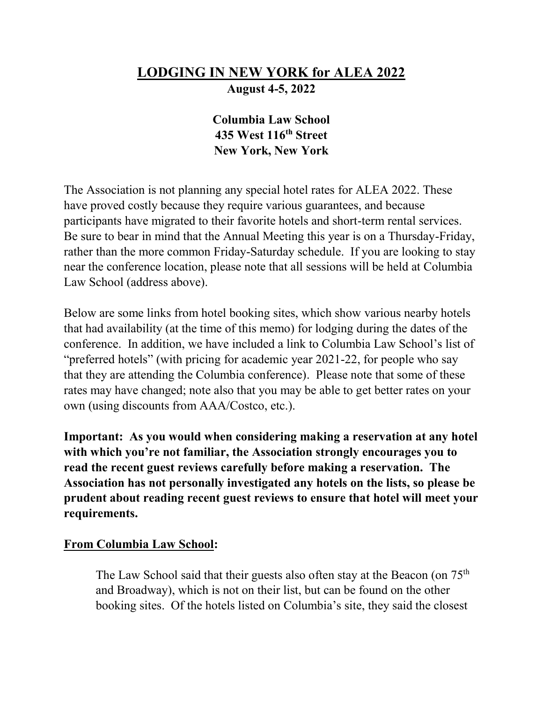# **LODGING IN NEW YORK for ALEA 2022 August 4-5, 2022**

## **Columbia Law School 435 West 116th Street New York, New York**

The Association is not planning any special hotel rates for ALEA 2022. These have proved costly because they require various guarantees, and because participants have migrated to their favorite hotels and short-term rental services. Be sure to bear in mind that the Annual Meeting this year is on a Thursday-Friday, rather than the more common Friday-Saturday schedule. If you are looking to stay near the conference location, please note that all sessions will be held at Columbia Law School (address above).

Below are some links from hotel booking sites, which show various nearby hotels that had availability (at the time of this memo) for lodging during the dates of the conference. In addition, we have included a link to Columbia Law School's list of "preferred hotels" (with pricing for academic year 2021-22, for people who say that they are attending the Columbia conference). Please note that some of these rates may have changed; note also that you may be able to get better rates on your own (using discounts from AAA/Costco, etc.).

**Important: As you would when considering making a reservation at any hotel with which you're not familiar, the Association strongly encourages you to read the recent guest reviews carefully before making a reservation. The Association has not personally investigated any hotels on the lists, so please be prudent about reading recent guest reviews to ensure that hotel will meet your requirements.** 

#### **From Columbia Law School:**

The Law School said that their guests also often stay at the Beacon (on  $75<sup>th</sup>$ and Broadway), which is not on their list, but can be found on the other booking sites. Of the hotels listed on Columbia's site, they said the closest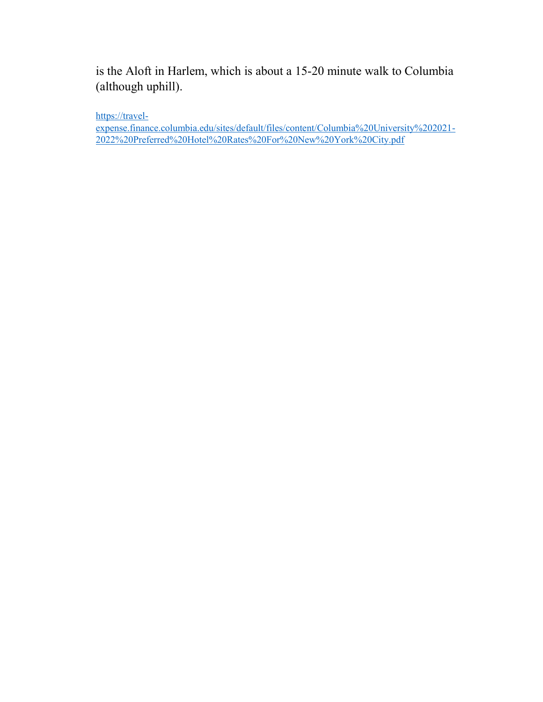is the Aloft in Harlem, which is about a 15-20 minute walk to Columbia (although uphill).

[https://travel-](https://nam12.safelinks.protection.outlook.com/?url=https%3A%2F%2Ftravel-expense.finance.columbia.edu%2Fsites%2Fdefault%2Ffiles%2Fcontent%2FColumbia%2520University%25202021-2022%2520Preferred%2520Hotel%2520Rates%2520For%2520New%2520York%2520City.pdf&data=05%7C01%7Ckaren.crocco%40yale.edu%7C572034d922c74ec9f36208da45808deb%7Cdd8cbebb21394df8b4114e3e87abeb5c%7C0%7C0%7C637898715981380391%7CUnknown%7CTWFpbGZsb3d8eyJWIjoiMC4wLjAwMDAiLCJQIjoiV2luMzIiLCJBTiI6Ik1haWwiLCJXVCI6Mn0%3D%7C3000%7C%7C%7C&sdata=18e4YYYTFQCkYYEfQ1U6E%2FIzUgFSPwehAIHoEwvecaQ%3D&reserved=0)

[expense.finance.columbia.edu/sites/default/files/content/Columbia%20University%202021-](https://nam12.safelinks.protection.outlook.com/?url=https%3A%2F%2Ftravel-expense.finance.columbia.edu%2Fsites%2Fdefault%2Ffiles%2Fcontent%2FColumbia%2520University%25202021-2022%2520Preferred%2520Hotel%2520Rates%2520For%2520New%2520York%2520City.pdf&data=05%7C01%7Ckaren.crocco%40yale.edu%7C572034d922c74ec9f36208da45808deb%7Cdd8cbebb21394df8b4114e3e87abeb5c%7C0%7C0%7C637898715981380391%7CUnknown%7CTWFpbGZsb3d8eyJWIjoiMC4wLjAwMDAiLCJQIjoiV2luMzIiLCJBTiI6Ik1haWwiLCJXVCI6Mn0%3D%7C3000%7C%7C%7C&sdata=18e4YYYTFQCkYYEfQ1U6E%2FIzUgFSPwehAIHoEwvecaQ%3D&reserved=0) [2022%20Preferred%20Hotel%20Rates%20For%20New%20York%20City.pdf](https://nam12.safelinks.protection.outlook.com/?url=https%3A%2F%2Ftravel-expense.finance.columbia.edu%2Fsites%2Fdefault%2Ffiles%2Fcontent%2FColumbia%2520University%25202021-2022%2520Preferred%2520Hotel%2520Rates%2520For%2520New%2520York%2520City.pdf&data=05%7C01%7Ckaren.crocco%40yale.edu%7C572034d922c74ec9f36208da45808deb%7Cdd8cbebb21394df8b4114e3e87abeb5c%7C0%7C0%7C637898715981380391%7CUnknown%7CTWFpbGZsb3d8eyJWIjoiMC4wLjAwMDAiLCJQIjoiV2luMzIiLCJBTiI6Ik1haWwiLCJXVCI6Mn0%3D%7C3000%7C%7C%7C&sdata=18e4YYYTFQCkYYEfQ1U6E%2FIzUgFSPwehAIHoEwvecaQ%3D&reserved=0)